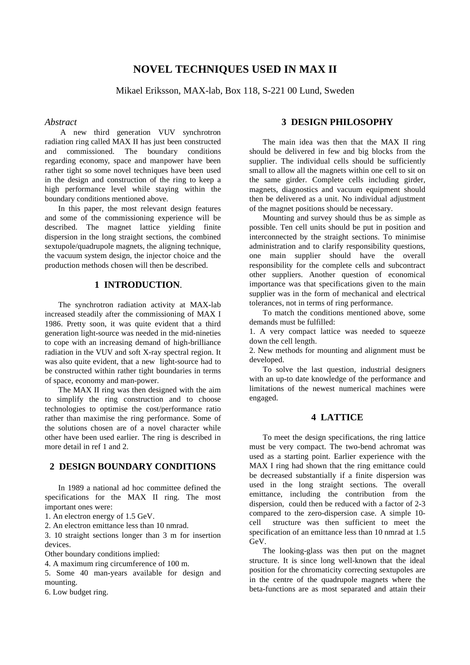# **NOVEL TECHNIQUES USED IN MAX II**

Mikael Eriksson, MAX-lab, Box 118, S-221 00 Lund, Sweden

#### *Abstract*

 A new third generation VUV synchrotron radiation ring called MAX II has just been constructed and commissioned. The boundary conditions regarding economy, space and manpower have been rather tight so some novel techniques have been used in the design and construction of the ring to keep a high performance level while staying within the boundary conditions mentioned above.

In this paper, the most relevant design features and some of the commissioning experience will be described. The magnet lattice yielding finite dispersion in the long straight sections, the combined sextupole/quadrupole magnets, the aligning technique, the vacuum system design, the injector choice and the production methods chosen will then be described.

## **1 INTRODUCTION**.

The synchrotron radiation activity at MAX-lab increased steadily after the commissioning of MAX I 1986. Pretty soon, it was quite evident that a third generation light-source was needed in the mid-nineties to cope with an increasing demand of high-brilliance radiation in the VUV and soft X-ray spectral region. It was also quite evident, that a new light-source had to be constructed within rather tight boundaries in terms of space, economy and man-power.

The MAX II ring was then designed with the aim to simplify the ring construction and to choose technologies to optimise the cost/performance ratio rather than maximise the ring performance. Some of the solutions chosen are of a novel character while other have been used earlier. The ring is described in more detail in ref 1 and 2.

# **2 DESIGN BOUNDARY CONDITIONS**

In 1989 a national ad hoc committee defined the specifications for the MAX II ring. The most important ones were:

1. An electron energy of 1.5 GeV.

2. An electron emittance less than 10 nmrad.

3. 10 straight sections longer than 3 m for insertion devices.

Other boundary conditions implied:

4. A maximum ring circumference of 100 m.

5. Some 40 man-years available for design and mounting.

6. Low budget ring.

### **3 DESIGN PHILOSOPHY**

The main idea was then that the MAX II ring should be delivered in few and big blocks from the supplier. The individual cells should be sufficiently small to allow all the magnets within one cell to sit on the same girder. Complete cells including girder, magnets, diagnostics and vacuum equipment should then be delivered as a unit. No individual adjustment of the magnet positions should be necessary.

Mounting and survey should thus be as simple as possible. Ten cell units should be put in position and interconnected by the straight sections. To minimise administration and to clarify responsibility questions, one main supplier should have the overall responsibility for the complete cells and subcontract other suppliers. Another question of economical importance was that specifications given to the main supplier was in the form of mechanical and electrical tolerances, not in terms of ring performance.

To match the conditions mentioned above, some demands must be fulfilled:

1. A very compact lattice was needed to squeeze down the cell length.

2. New methods for mounting and alignment must be developed.

To solve the last question, industrial designers with an up-to date knowledge of the performance and limitations of the newest numerical machines were engaged.

### **4 LATTICE**

To meet the design specifications, the ring lattice must be very compact. The two-bend achromat was used as a starting point. Earlier experience with the MAX I ring had shown that the ring emittance could be decreased substantially if a finite dispersion was used in the long straight sections. The overall emittance, including the contribution from the dispersion, could then be reduced with a factor of 2-3 compared to the zero-dispersion case. A simple 10 cell structure was then sufficient to meet the specification of an emittance less than 10 nmrad at 1.5 GeV.

The looking-glass was then put on the magnet structure. It is since long well-known that the ideal position for the chromaticity correcting sextupoles are in the centre of the quadrupole magnets where the beta-functions are as most separated and attain their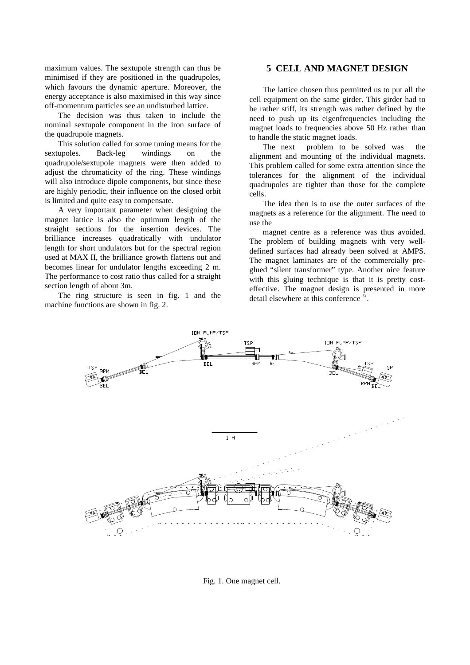maximum values. The sextupole strength can thus be minimised if they are positioned in the quadrupoles, which favours the dynamic aperture. Moreover, the energy acceptance is also maximised in this way since off-momentum particles see an undisturbed lattice.

The decision was thus taken to include the nominal sextupole component in the iron surface of the quadrupole magnets.

This solution called for some tuning means for the sextupoles. Back-leg windings on the quadrupole/sextupole magnets were then added to adjust the chromaticity of the ring. These windings will also introduce dipole components, but since these are highly periodic, their influence on the closed orbit is limited and quite easy to compensate.

A very important parameter when designing the magnet lattice is also the optimum length of the straight sections for the insertion devices. The brilliance increases quadratically with undulator length for short undulators but for the spectral region used at MAX II, the brilliance growth flattens out and becomes linear for undulator lengths exceeding 2 m. The performance to cost ratio thus called for a straight section length of about 3m.

The ring structure is seen in fig. 1 and the machine functions are shown in fig. 2.

### **5 CELL AND MAGNET DESIGN**

The lattice chosen thus permitted us to put all the cell equipment on the same girder. This girder had to be rather stiff, its strength was rather defined by the need to push up its eigenfrequencies including the magnet loads to frequencies above 50 Hz rather than to handle the static magnet loads.

The next problem to be solved was the alignment and mounting of the individual magnets. This problem called for some extra attention since the tolerances for the alignment of the individual quadrupoles are tighter than those for the complete cells.

The idea then is to use the outer surfaces of the magnets as a reference for the alignment. The need to use the

magnet centre as a reference was thus avoided. The problem of building magnets with very welldefined surfaces had already been solved at AMPS. The magnet laminates are of the commercially preglued "silent transformer" type. Another nice feature with this gluing technique is that it is pretty costeffective. The magnet design is presented in more detail elsewhere at this conference<sup>3</sup>.



Fig. 1. One magnet cell.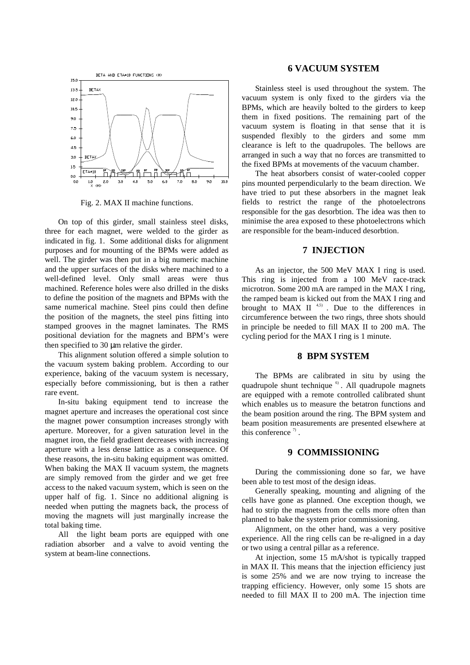

Fig. 2. MAX II machine functions.

On top of this girder, small stainless steel disks, three for each magnet, were welded to the girder as indicated in fig. 1. Some additional disks for alignment purposes and for mounting of the BPMs were added as well. The girder was then put in a big numeric machine and the upper surfaces of the disks where machined to a well-defined level. Only small areas were thus machined. Reference holes were also drilled in the disks to define the position of the magnets and BPMs with the same numerical machine. Steel pins could then define the position of the magnets, the steel pins fitting into stamped grooves in the magnet laminates. The RMS positional deviation for the magnets and BPM's were then specified to 30 µm relative the girder.

This alignment solution offered a simple solution to the vacuum system baking problem. According to our experience, baking of the vacuum system is necessary, especially before commissioning, but is then a rather rare event.

In-situ baking equipment tend to increase the magnet aperture and increases the operational cost since the magnet power consumption increases strongly with aperture. Moreover, for a given saturation level in the magnet iron, the field gradient decreases with increasing aperture with a less dense lattice as a consequence. Of these reasons, the in-situ baking equipment was omitted. When baking the MAX II vacuum system, the magnets are simply removed from the girder and we get free access to the naked vacuum system, which is seen on the upper half of fig. 1. Since no additional aligning is needed when putting the magnets back, the process of moving the magnets will just marginally increase the total baking time.

All the light beam ports are equipped with one radiation absorber and a valve to avoid venting the system at beam-line connections.

### **6 VACUUM SYSTEM**

Stainless steel is used throughout the system. The vacuum system is only fixed to the girders via the BPMs, which are heavily bolted to the girders to keep them in fixed positions. The remaining part of the vacuum system is floating in that sense that it is suspended flexibly to the girders and some mm clearance is left to the quadrupoles. The bellows are arranged in such a way that no forces are transmitted to the fixed BPMs at movements of the vacuum chamber.

The heat absorbers consist of water-cooled copper pins mounted perpendicularly to the beam direction. We have tried to put these absorbers in the magnet leak fields to restrict the range of the photoelectrons responsible for the gas desorbtion. The idea was then to minimise the area exposed to these photoelectrons which are responsible for the beam-induced desorbtion.

### **7 INJECTION**

As an injector, the 500 MeV MAX I ring is used. This ring is injected from a 100 MeV race-track microtron. Some 200 mA are ramped in the MAX I ring, the ramped beam is kicked out from the MAX I ring and brought to MAX II  $4,5$ ). Due to the differences in circumference between the two rings, three shots should in principle be needed to fill MAX II to 200 mA. The cycling period for the MAX I ring is 1 minute.

### **8 BPM SYSTEM**

The BPMs are calibrated in situ by using the quadrupole shunt technique <sup>6)</sup>. All quadrupole magnets are equipped with a remote controlled calibrated shunt which enables us to measure the betatron functions and the beam position around the ring. The BPM system and beam position measurements are presented elsewhere at this conference  $\sqrt[7]{}$ .

#### **9 COMMISSIONING**

During the commissioning done so far, we have been able to test most of the design ideas.

Generally speaking, mounting and aligning of the cells have gone as planned. One exception though, we had to strip the magnets from the cells more often than planned to bake the system prior commissioning.

Alignment, on the other hand, was a very positive experience. All the ring cells can be re-aligned in a day or two using a central pillar as a reference.

At injection, some 15 mA/shot is typically trapped in MAX II. This means that the injection efficiency just is some 25% and we are now trying to increase the trapping efficiency. However, only some 15 shots are needed to fill MAX II to 200 mA. The injection time